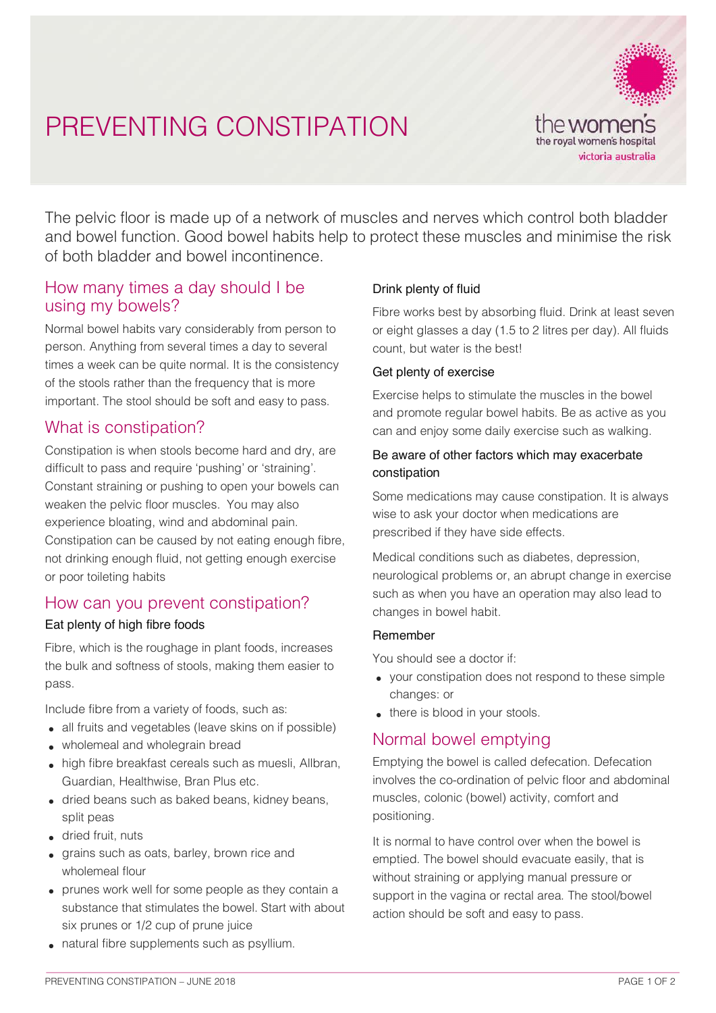# PREVENTING CONSTIPATION



The pelvic floor is made up of a network of muscles and nerves which control both bladder and bowel function. Good bowel habits help to protect these muscles and minimise the risk of both bladder and bowel incontinence.

## How many times a day should I be using my bowels?

Normal bowel habits vary considerably from person to person. Anything from several times a day to several times a week can be quite normal. It is the consistency of the stools rather than the frequency that is more important. The stool should be soft and easy to pass.

# What is constipation?

Constipation is when stools become hard and dry, are difficult to pass and require 'pushing' or 'straining'. Constant straining or pushing to open your bowels can weaken the pelvic floor muscles. You may also experience bloating, wind and abdominal pain. Constipation can be caused by not eating enough fibre, not drinking enough fluid, not getting enough exercise or poor toileting habits

# How can you prevent constipation?

### Eat plenty of high fibre foods

Fibre, which is the roughage in plant foods, increases the bulk and softness of stools, making them easier to pass.

Include fibre from a variety of foods, such as:

- all fruits and vegetables (leave skins on if possible)
- wholemeal and wholegrain bread
- high fibre breakfast cereals such as muesli, Allbran, Guardian, Healthwise, Bran Plus etc.
- dried beans such as baked beans, kidney beans, split peas
- dried fruit, nuts
- grains such as oats, barley, brown rice and wholemeal flour
- prunes work well for some people as they contain a substance that stimulates the bowel. Start with about six prunes or 1/2 cup of prune juice

#### • natural fibre supplements such as psyllium.

## Drink plenty of fluid

Fibre works best by absorbing fluid. Drink at least seven or eight glasses a day (1.5 to 2 litres per day). All fluids count, but water is the best!

#### Get plenty of exercise

Exercise helps to stimulate the muscles in the bowel and promote regular bowel habits. Be as active as you can and enjoy some daily exercise such as walking.

## Be aware of other factors which may exacerbate constipation

Some medications may cause constipation. It is always wise to ask your doctor when medications are prescribed if they have side effects.

Medical conditions such as diabetes, depression, neurological problems or, an abrupt change in exercise such as when you have an operation may also lead to changes in bowel habit.

#### Remember

You should see a doctor if:

- your constipation does not respond to these simple changes: or
- there is blood in your stools.

# Normal bowel emptying

Emptying the bowel is called defecation. Defecation involves the co-ordination of pelvic floor and abdominal muscles, colonic (bowel) activity, comfort and positioning.

It is normal to have control over when the bowel is emptied. The bowel should evacuate easily, that is without straining or applying manual pressure or support in the vagina or rectal area. The stool/bowel action should be soft and easy to pass.